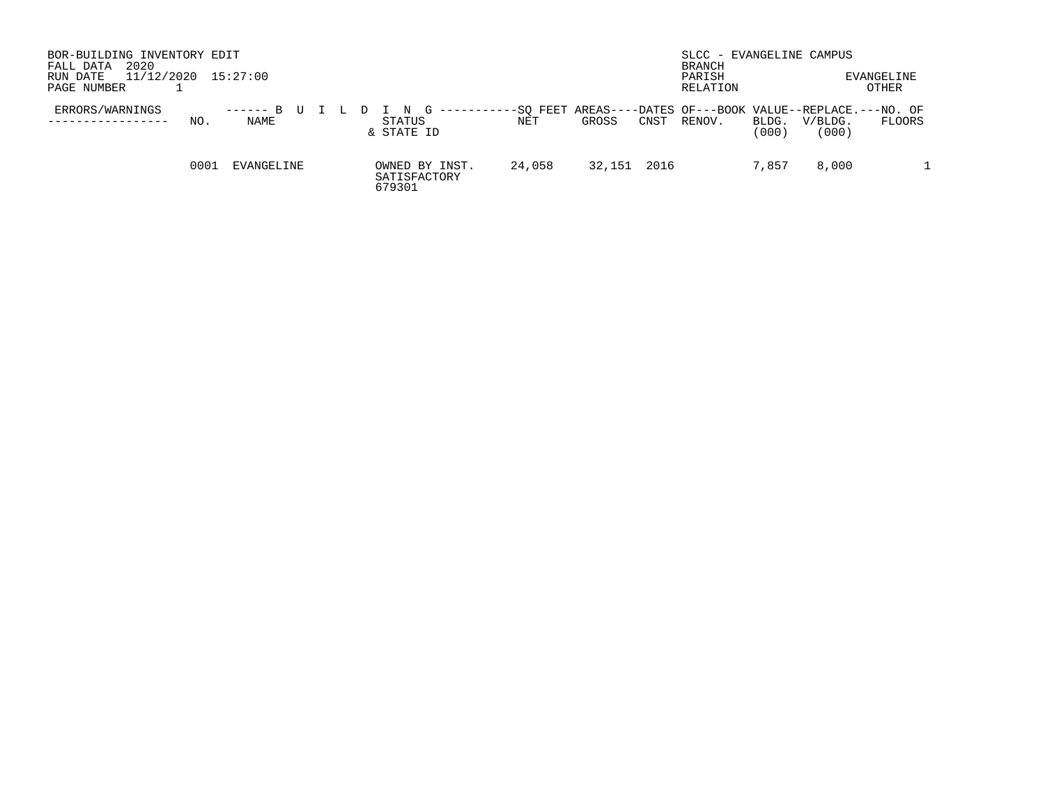| BOR-BUILDING INVENTORY EDIT<br>2020<br>FALL DATA<br>11/12/2020<br>RUN DATE<br>PAGE NUMBER | 15:27:00              |                                                    |        |                                                                             | SLCC - EVANGELINE CAMPUS<br>BRANCH<br>PARISH<br>RELATION |                |                  | EVANGELINE<br>OTHER |
|-------------------------------------------------------------------------------------------|-----------------------|----------------------------------------------------|--------|-----------------------------------------------------------------------------|----------------------------------------------------------|----------------|------------------|---------------------|
| ERRORS/WARNINGS<br>NO.<br>------------                                                    | $--- - - B$ U<br>NAME | $\mathbf{G}$<br>----------<br>STATUS<br>& STATE ID | NET    | -SO FEET AREAS----DATES OF---BOOK VALUE--REPLACE.---NO. OF<br>GROSS<br>CNST | RENOV.                                                   | BLDG.<br>(000) | V/BLDG.<br>(000) | FLOORS              |
| 0001                                                                                      | EVANGELINE            | OWNED BY INST.<br>SATISFACTORY<br>679301           | 24,058 | 32,151 2016                                                                 |                                                          | 7,857          | 8,000            |                     |